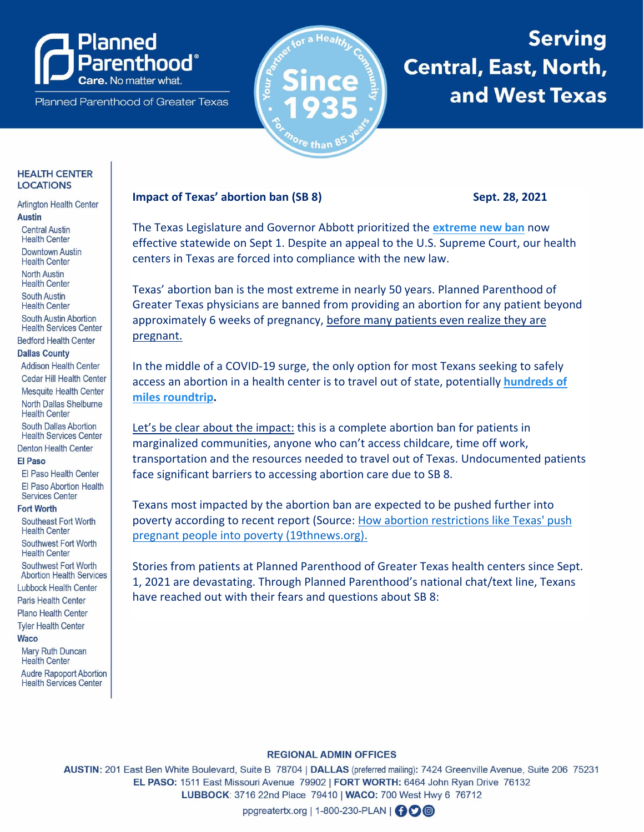# anned enthood®

Planned Parenthood of Greater Texas



# **Serving Central, East, North,** and West Texas

## **HEALTH CENTER LOCATIONS**

#### **Arlington Health Center Austin**

**Central Austin Health Center** 

**Downtown Austin** 

**Health Center** 

**North Austin** 

**Health Center** 

**South Austin Health Center** 

South Austin Abortion **Health Services Center** 

**Bedford Health Center** 

# **Dallas County**

**Addison Health Center** Cedar Hill Health Center **Mesquite Health Center** North Dallas Shelburne **Health Center** 

**South Dallas Abortion Health Services Center Denton Health Center** 

### **FI Paso**

El Paso Health Center El Paso Abortion Health **Services Center** 

#### **Fort Worth**

Southeast Fort Worth **Health Center** 

Southwest Fort Worth **Health Center** 

Southwest Fort Worth **Abortion Health Services** 

**Lubbock Health Center Paris Health Center** 

Plano Health Center

**Tyler Health Center** 

### **Waco**

**Mary Ruth Duncan Health Center Audre Rapoport Abortion Health Services Center** 

# **Impact of Texas' abortion ban (SB 8)**

Sept. 28, 2021

The Texas Legislature and Governor Abbott prioritized the extreme new ban now effective statewide on Sept 1. Despite an appeal to the U.S. Supreme Court, our health centers in Texas are forced into compliance with the new law.

Texas' abortion ban is the most extreme in nearly 50 years. Planned Parenthood of Greater Texas physicians are banned from providing an abortion for any patient beyond approximately 6 weeks of pregnancy, before many patients even realize they are pregnant.

In the middle of a COVID-19 surge, the only option for most Texans seeking to safely access an abortion in a health center is to travel out of state, potentially hundreds of miles roundtrip.

Let's be clear about the impact: this is a complete abortion ban for patients in marginalized communities, anyone who can't access childcare, time off work, transportation and the resources needed to travel out of Texas. Undocumented patients face significant barriers to accessing abortion care due to SB 8.

Texans most impacted by the abortion ban are expected to be pushed further into poverty according to recent report (Source: How abortion restrictions like Texas' push pregnant people into poverty (19thnews.org).

Stories from patients at Planned Parenthood of Greater Texas health centers since Sept. 1, 2021 are devastating. Through Planned Parenthood's national chat/text line, Texans have reached out with their fears and questions about SB 8:

# **REGIONAL ADMIN OFFICES**

AUSTIN: 201 East Ben White Boulevard, Suite B 78704 | DALLAS (preferred mailing): 7424 Greenville Avenue, Suite 206 75231 EL PASO: 1511 East Missouri Avenue 79902 | FORT WORTH: 6464 John Ryan Drive 76132 LUBBOCK: 3716 22nd Place 79410 | WACO: 700 West Hwy 6 76712